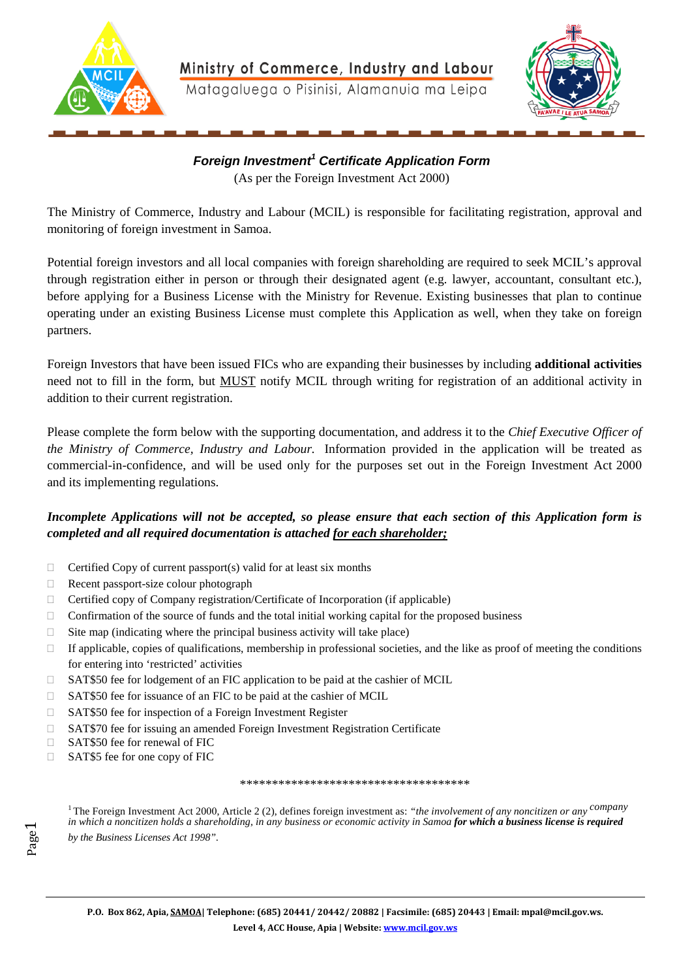



*Foreign Investment<sup>1</sup> Certificate Application Form*  (As per the Foreign Investment Act 2000)

The Ministry of Commerce, Industry and Labour (MCIL) is responsible for facilitating registration, approval and monitoring of foreign investment in Samoa.

Potential foreign investors and all local companies with foreign shareholding are required to seek MCIL's approval through registration either in person or through their designated agent (e.g. lawyer, accountant, consultant etc.), before applying for a Business License with the Ministry for Revenue. Existing businesses that plan to continue operating under an existing Business License must complete this Application as well, when they take on foreign partners.

Foreign Investors that have been issued FICs who are expanding their businesses by including **additional activities** need not to fill in the form, but MUST notify MCIL through writing for registration of an additional activity in addition to their current registration.

Please complete the form below with the supporting documentation, and address it to the *Chief Executive Officer of the Ministry of Commerce, Industry and Labour.* Information provided in the application will be treated as commercial-in-confidence, and will be used only for the purposes set out in the Foreign Investment Act 2000 and its implementing regulations.

### *Incomplete Applications will not be accepted, so please ensure that each section of this Application form is completed and all required documentation is attached for each shareholder;*

- $\Box$  Certified Copy of current passport(s) valid for at least six months
- Recent passport-size colour photograph
- $\Box$  Certified copy of Company registration/Certificate of Incorporation (if applicable)
- $\Box$  Confirmation of the source of funds and the total initial working capital for the proposed business
- $\Box$  Site map (indicating where the principal business activity will take place)
- $\Box$  If applicable, copies of qualifications, membership in professional societies, and the like as proof of meeting the conditions for entering into 'restricted' activities
- □ SAT\$50 fee for lodgement of an FIC application to be paid at the cashier of MCIL
- $\Box$  SAT\$50 fee for issuance of an FIC to be paid at the cashier of MCIL
- □ SAT\$50 fee for inspection of a Foreign Investment Register
- □ SAT\$70 fee for issuing an amended Foreign Investment Registration Certificate
- □ SAT\$50 fee for renewal of FIC
- □ SAT\$5 fee for one copy of FIC

Page 1

#### \*\*\*\*\*\*\*\*\*\*\*\*\*\*\*\*\*\*\*\*\*\*\*\*\*\*\*\*\*\*\*\*\*\*\*\*

<sup>1</sup>The Foreign Investment Act 2000, Article 2 (2), defines foreign investment as: *"the involvement of any noncitizen or any company in which a noncitizen holds a shareholding, in any business or economic activity in Samoa for which a business license is required by the Business Licenses Act 1998".*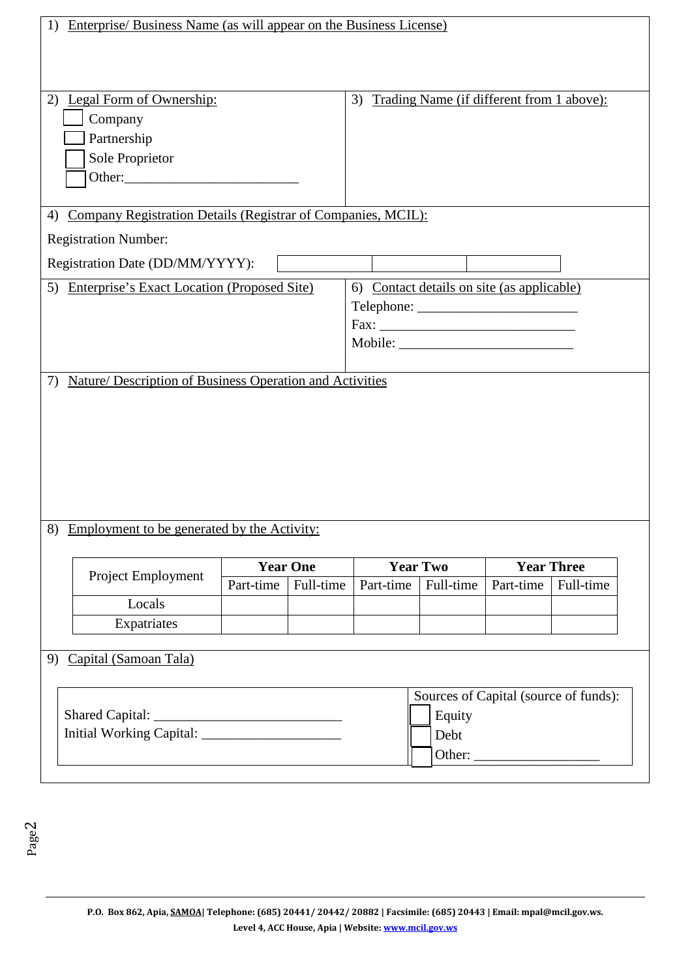| Enterprise/ Business Name (as will appear on the Business License)<br>1) |                                       |                 |           |                                                 |                        |                   |  |
|--------------------------------------------------------------------------|---------------------------------------|-----------------|-----------|-------------------------------------------------|------------------------|-------------------|--|
|                                                                          |                                       |                 |           |                                                 |                        |                   |  |
|                                                                          |                                       |                 |           |                                                 |                        |                   |  |
|                                                                          |                                       |                 |           |                                                 |                        |                   |  |
|                                                                          | 2) Legal Form of Ownership:           |                 |           | Trading Name (if different from 1 above):<br>3) |                        |                   |  |
| Company                                                                  |                                       |                 |           |                                                 |                        |                   |  |
| Partnership                                                              |                                       |                 |           |                                                 |                        |                   |  |
| Sole Proprietor                                                          |                                       |                 |           |                                                 |                        |                   |  |
|                                                                          |                                       |                 |           |                                                 |                        |                   |  |
|                                                                          |                                       |                 |           |                                                 |                        |                   |  |
| Company Registration Details (Registrar of Companies, MCIL):<br>4)       |                                       |                 |           |                                                 |                        |                   |  |
| <b>Registration Number:</b>                                              |                                       |                 |           |                                                 |                        |                   |  |
| Registration Date (DD/MM/YYYY):                                          |                                       |                 |           |                                                 |                        |                   |  |
|                                                                          |                                       |                 |           |                                                 |                        |                   |  |
| 5) Enterprise's Exact Location (Proposed Site)                           |                                       |                 |           | 6) Contact details on site (as applicable)      |                        |                   |  |
|                                                                          |                                       |                 |           |                                                 |                        |                   |  |
|                                                                          |                                       |                 |           |                                                 |                        |                   |  |
|                                                                          |                                       |                 | Mobile:   |                                                 |                        |                   |  |
|                                                                          |                                       |                 |           |                                                 |                        |                   |  |
| Nature/ Description of Business Operation and Activities<br>7)           |                                       |                 |           |                                                 |                        |                   |  |
|                                                                          |                                       |                 |           |                                                 |                        |                   |  |
|                                                                          |                                       |                 |           |                                                 |                        |                   |  |
|                                                                          |                                       |                 |           |                                                 |                        |                   |  |
|                                                                          |                                       |                 |           |                                                 |                        |                   |  |
|                                                                          |                                       |                 |           |                                                 |                        |                   |  |
|                                                                          |                                       |                 |           |                                                 |                        |                   |  |
|                                                                          |                                       |                 |           |                                                 |                        |                   |  |
| <u>Employment to be generated by the Activity:</u><br>8)                 |                                       |                 |           |                                                 |                        |                   |  |
|                                                                          |                                       |                 |           |                                                 |                        |                   |  |
| <b>Project Employment</b>                                                |                                       | <b>Year One</b> |           | <b>Year Two</b>                                 |                        | <b>Year Three</b> |  |
|                                                                          | Part-time                             | Full-time       | Part-time | Full-time                                       | Part-time              | Full-time         |  |
| Locals                                                                   |                                       |                 |           |                                                 |                        |                   |  |
| Expatriates                                                              |                                       |                 |           |                                                 |                        |                   |  |
|                                                                          |                                       |                 |           |                                                 |                        |                   |  |
| Capital (Samoan Tala)<br>9                                               |                                       |                 |           |                                                 |                        |                   |  |
|                                                                          |                                       |                 |           |                                                 |                        |                   |  |
|                                                                          | Sources of Capital (source of funds): |                 |           |                                                 |                        |                   |  |
|                                                                          |                                       | Equity          |           |                                                 |                        |                   |  |
|                                                                          |                                       |                 |           | Debt                                            |                        |                   |  |
|                                                                          |                                       |                 |           |                                                 | Other: $\qquad \qquad$ |                   |  |
|                                                                          |                                       |                 |           |                                                 |                        |                   |  |

Page2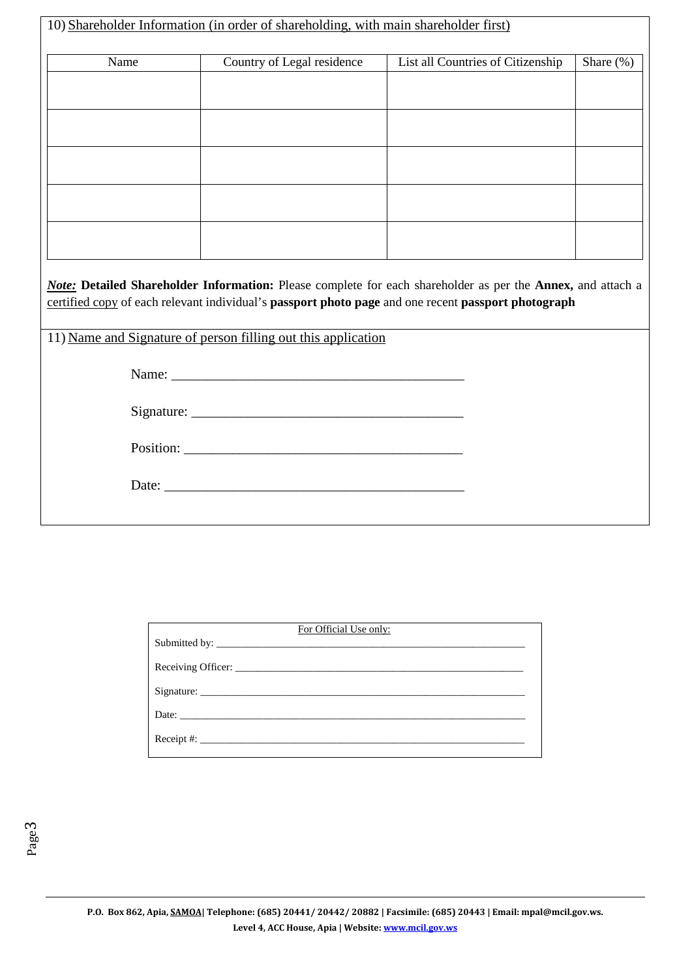| 10) Shareholder Information (in order of shareholding, with main shareholder first) |                                                               |                                                                                                                                                                                                                           |              |  |  |  |  |
|-------------------------------------------------------------------------------------|---------------------------------------------------------------|---------------------------------------------------------------------------------------------------------------------------------------------------------------------------------------------------------------------------|--------------|--|--|--|--|
| Name                                                                                | Country of Legal residence                                    | List all Countries of Citizenship                                                                                                                                                                                         | Share $(\%)$ |  |  |  |  |
|                                                                                     |                                                               |                                                                                                                                                                                                                           |              |  |  |  |  |
|                                                                                     |                                                               |                                                                                                                                                                                                                           |              |  |  |  |  |
|                                                                                     |                                                               |                                                                                                                                                                                                                           |              |  |  |  |  |
|                                                                                     |                                                               |                                                                                                                                                                                                                           |              |  |  |  |  |
|                                                                                     |                                                               |                                                                                                                                                                                                                           |              |  |  |  |  |
|                                                                                     |                                                               |                                                                                                                                                                                                                           |              |  |  |  |  |
|                                                                                     |                                                               |                                                                                                                                                                                                                           |              |  |  |  |  |
|                                                                                     |                                                               |                                                                                                                                                                                                                           |              |  |  |  |  |
|                                                                                     |                                                               |                                                                                                                                                                                                                           |              |  |  |  |  |
|                                                                                     |                                                               | <b>Note:</b> Detailed Shareholder Information: Please complete for each shareholder as per the Annex, and attach a<br>certified copy of each relevant individual's passport photo page and one recent passport photograph |              |  |  |  |  |
|                                                                                     | 11) Name and Signature of person filling out this application |                                                                                                                                                                                                                           |              |  |  |  |  |
|                                                                                     |                                                               |                                                                                                                                                                                                                           |              |  |  |  |  |
|                                                                                     |                                                               |                                                                                                                                                                                                                           |              |  |  |  |  |
|                                                                                     |                                                               |                                                                                                                                                                                                                           |              |  |  |  |  |
|                                                                                     |                                                               |                                                                                                                                                                                                                           |              |  |  |  |  |
|                                                                                     |                                                               |                                                                                                                                                                                                                           |              |  |  |  |  |

| For Official Use only: |
|------------------------|
|                        |
|                        |
|                        |
|                        |
| Receipt #: $\_$        |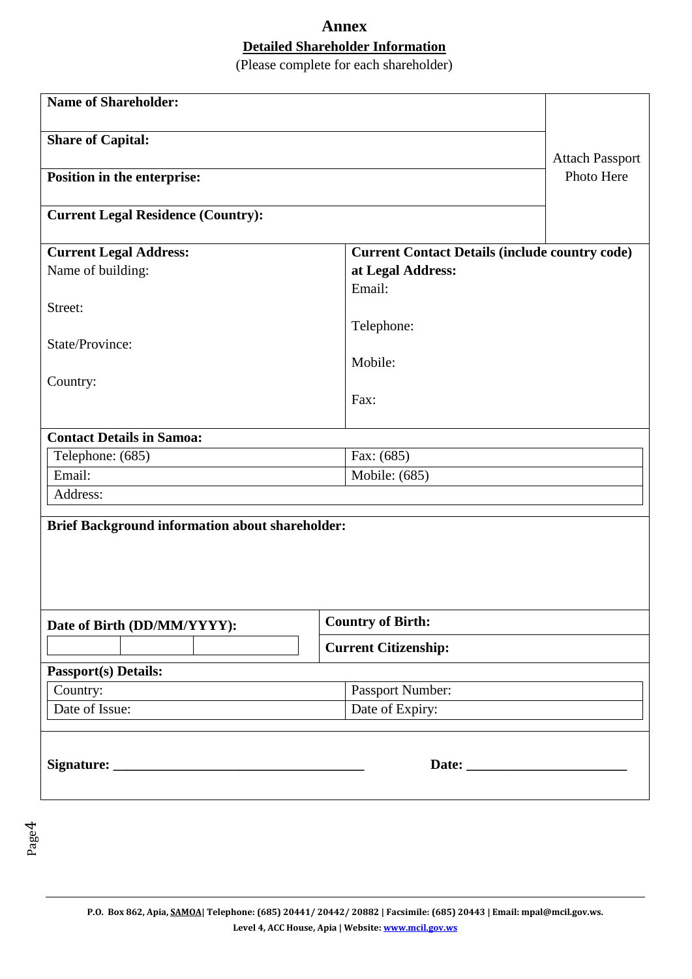# **Annex Detailed Shareholder Information**

(Please complete for each shareholder)

| <b>Name of Shareholder:</b>                            |                                                       |  |  |  |  |
|--------------------------------------------------------|-------------------------------------------------------|--|--|--|--|
| <b>Share of Capital:</b>                               |                                                       |  |  |  |  |
|                                                        | <b>Attach Passport</b>                                |  |  |  |  |
| Position in the enterprise:                            | Photo Here                                            |  |  |  |  |
| <b>Current Legal Residence (Country):</b>              |                                                       |  |  |  |  |
| <b>Current Legal Address:</b>                          | <b>Current Contact Details (include country code)</b> |  |  |  |  |
| Name of building:                                      | at Legal Address:                                     |  |  |  |  |
|                                                        | Email:                                                |  |  |  |  |
| Street:                                                |                                                       |  |  |  |  |
|                                                        | Telephone:                                            |  |  |  |  |
| State/Province:                                        |                                                       |  |  |  |  |
|                                                        | Mobile:                                               |  |  |  |  |
| Country:                                               |                                                       |  |  |  |  |
|                                                        | Fax:                                                  |  |  |  |  |
|                                                        |                                                       |  |  |  |  |
| <b>Contact Details in Samoa:</b>                       |                                                       |  |  |  |  |
| Telephone: (685)                                       | Fax: (685)                                            |  |  |  |  |
| Email:                                                 | Mobile: (685)                                         |  |  |  |  |
| Address:                                               |                                                       |  |  |  |  |
| <b>Brief Background information about shareholder:</b> |                                                       |  |  |  |  |
| Date of Birth (DD/MM/YYYY):                            | <b>Country of Birth:</b>                              |  |  |  |  |
|                                                        | <b>Current Citizenship:</b>                           |  |  |  |  |
| <b>Passport(s) Details:</b>                            |                                                       |  |  |  |  |
| Country:                                               | Passport Number:                                      |  |  |  |  |
| Date of Issue:                                         | Date of Expiry:                                       |  |  |  |  |
|                                                        |                                                       |  |  |  |  |